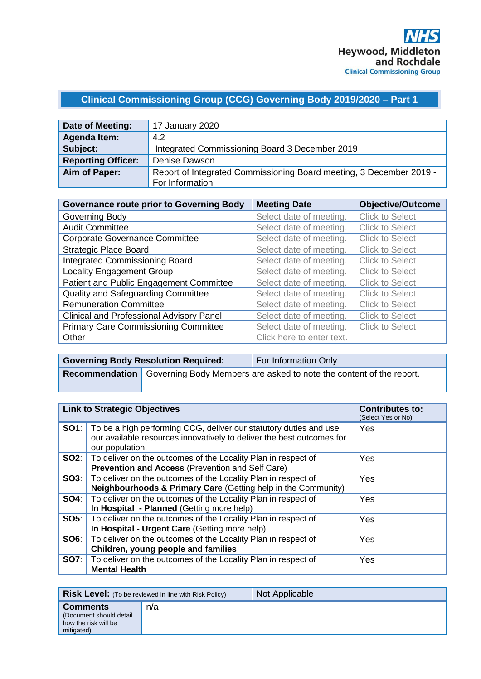## **Clinical Commissioning Group (CCG) Governing Body 2019/2020 – Part 1**

| Date of Meeting:          | 17 January 2020                                                     |  |
|---------------------------|---------------------------------------------------------------------|--|
| <b>Agenda Item:</b>       | 4.2                                                                 |  |
| Subject:                  | Integrated Commissioning Board 3 December 2019                      |  |
| <b>Reporting Officer:</b> | Denise Dawson                                                       |  |
| Aim of Paper:             | Report of Integrated Commissioning Board meeting, 3 December 2019 - |  |
|                           | For Information                                                     |  |

| <b>Governance route prior to Governing Body</b> | <b>Meeting Date</b>       | <b>Objective/Outcome</b> |
|-------------------------------------------------|---------------------------|--------------------------|
| Governing Body                                  | Select date of meeting.   | <b>Click to Select</b>   |
| <b>Audit Committee</b>                          | Select date of meeting.   | <b>Click to Select</b>   |
| <b>Corporate Governance Committee</b>           | Select date of meeting.   | <b>Click to Select</b>   |
| <b>Strategic Place Board</b>                    | Select date of meeting.   | <b>Click to Select</b>   |
| <b>Integrated Commissioning Board</b>           | Select date of meeting.   | <b>Click to Select</b>   |
| <b>Locality Engagement Group</b>                | Select date of meeting.   | <b>Click to Select</b>   |
| Patient and Public Engagement Committee         | Select date of meeting.   | <b>Click to Select</b>   |
| Quality and Safeguarding Committee              | Select date of meeting.   | <b>Click to Select</b>   |
| <b>Remuneration Committee</b>                   | Select date of meeting.   | <b>Click to Select</b>   |
| <b>Clinical and Professional Advisory Panel</b> | Select date of meeting.   | <b>Click to Select</b>   |
| <b>Primary Care Commissioning Committee</b>     | Select date of meeting.   | <b>Click to Select</b>   |
| Other                                           | Click here to enter text. |                          |

| <b>Governing Body Resolution Required:</b> | For Information Only                                                                 |
|--------------------------------------------|--------------------------------------------------------------------------------------|
|                                            | Recommendation   Governing Body Members are asked to note the content of the report. |

| <b>Link to Strategic Objectives</b> |                                                                                                                                                               | <b>Contributes to:</b><br>(Select Yes or No) |
|-------------------------------------|---------------------------------------------------------------------------------------------------------------------------------------------------------------|----------------------------------------------|
| SO1:                                | To be a high performing CCG, deliver our statutory duties and use<br>our available resources innovatively to deliver the best outcomes for<br>our population. | Yes                                          |
|                                     | <b>SO2:</b>   To deliver on the outcomes of the Locality Plan in respect of<br>Prevention and Access (Prevention and Self Care)                               | Yes                                          |
| SOS:                                | To deliver on the outcomes of the Locality Plan in respect of<br>Neighbourhoods & Primary Care (Getting help in the Community)                                | Yes                                          |
| SO4:                                | To deliver on the outcomes of the Locality Plan in respect of<br>In Hospital - Planned (Getting more help)                                                    | Yes                                          |
| <b>SO5:</b>                         | To deliver on the outcomes of the Locality Plan in respect of<br>In Hospital - Urgent Care (Getting more help)                                                | Yes                                          |
| SO6:                                | To deliver on the outcomes of the Locality Plan in respect of<br>Children, young people and families                                                          | Yes                                          |
| <b>SO7:</b>                         | To deliver on the outcomes of the Locality Plan in respect of<br><b>Mental Health</b>                                                                         | Yes                                          |

|                                                                                  | <b>Risk Level:</b> (To be reviewed in line with Risk Policy) | Not Applicable |
|----------------------------------------------------------------------------------|--------------------------------------------------------------|----------------|
| <b>Comments</b><br>(Document should detail<br>how the risk will be<br>mitigated) | n/a                                                          |                |